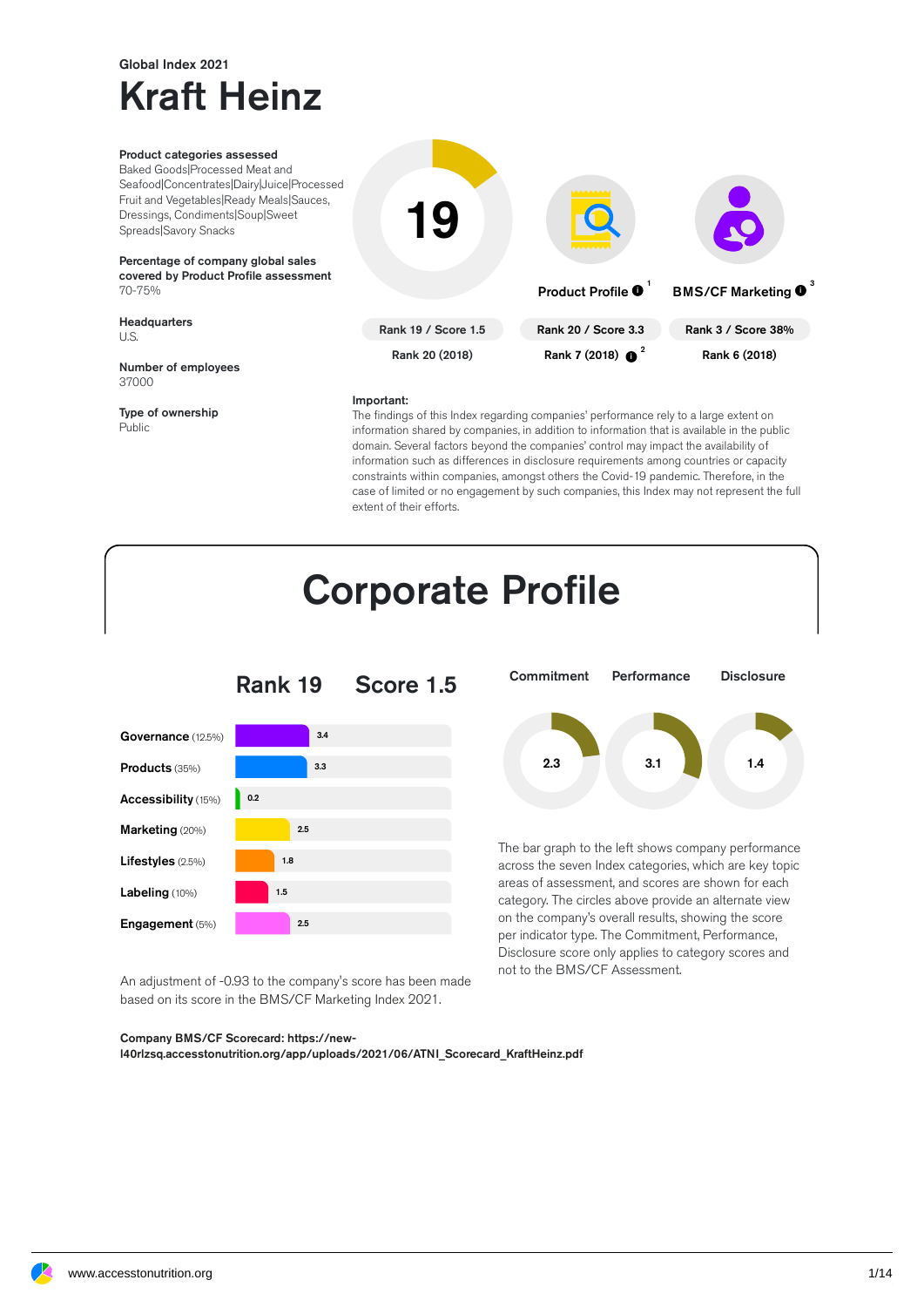## Global Index 2021 Kraft Heinz

37000

Public

Type of ownership



#### Important:

The findings of this Index regarding companies' performance rely to a large extent on information shared by companies, in addition to information that is available in the public domain. Several factors beyond the companies' control may impact the availability of information such as differences in disclosure requirements among countries or capacity constraints within companies, amongst others the Covid-19 pandemic. Therefore, in the case of limited or no engagement by such companies, this Index may not represent the full extent of their efforts.

not to the BMS/CF Assessment.



An adjustment of -0.93 to the company's score has been made based on its score in the BMS/CF Marketing Index 2021.

#### Company BMS/CF Scorecard: https://new-

l40rlzsq.accesstonutrition.org/app/uploads/2021/06/ATNI\_Scorecard\_KraftHeinz.pdf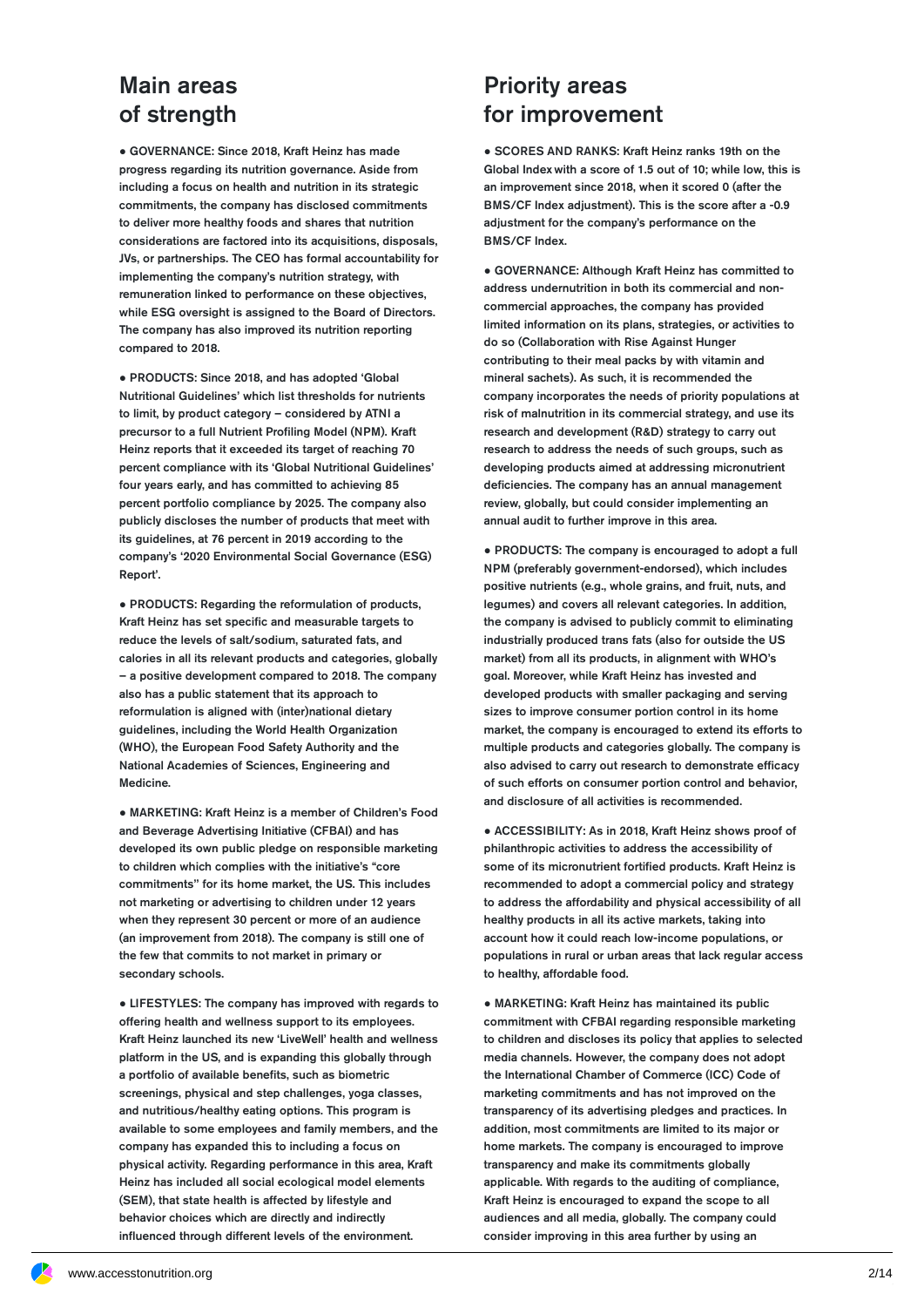#### Main areas of strength

● GOVERNANCE: Since 2018, Kraft Heinz has made progress regarding its nutrition governance. Aside from including a focus on health and nutrition in its strategic commitments, the company has disclosed commitments to deliver more healthy foods and shares that nutrition considerations are factored into its acquisitions, disposals, JVs, or partnerships. The CEO has formal accountability for implementing the company's nutrition strategy, with remuneration linked to performance on these objectives, while ESG oversight is assigned to the Board of Directors. The company has also improved its nutrition reporting compared to 2018.

● PRODUCTS: Since 2018, and has adopted 'Global Nutritional Guidelines' which list thresholds for nutrients to limit, by product category – considered by ATNI a precursor to a full Nutrient Profiling Model (NPM). Kraft Heinz reports that it exceeded its target of reaching 70 percent compliance with its 'Global Nutritional Guidelines' four years early, and has committed to achieving 85 percent portfolio compliance by 2025. The company also publicly discloses the number of products that meet with its guidelines, at 76 percent in 2019 according to the company's '2020 Environmental Social Governance (ESG) Report'.

● PRODUCTS: Regarding the reformulation of products, Kraft Heinz has set specific and measurable targets to reduce the levels of salt/sodium, saturated fats, and calories in all its relevant products and categories, globally – a positive development compared to 2018. The company also has a public statement that its approach to reformulation is aligned with (inter)national dietary guidelines, including the World Health Organization (WHO), the European Food Safety Authority and the National Academies of Sciences, Engineering and Medicine.

● MARKETING: Kraft Heinz is a member of Children's Food and Beverage Advertising Initiative (CFBAI) and has developed its own public pledge on responsible marketing to children which complies with the initiative's "core commitments'' for its home market, the US. This includes not marketing or advertising to children under 12 years when they represent 30 percent or more of an audience (an improvement from 2018). The company is still one of the few that commits to not market in primary or secondary schools.

● LIFESTYLES: The company has improved with regards to offering health and wellness support to its employees. Kraft Heinz launched its new 'LiveWell' health and wellness platform in the US, and is expanding this globally through a portfolio of available benefits, such as biometric screenings, physical and step challenges, yoga classes, and nutritious/healthy eating options. This program is available to some employees and family members, and the company has expanded this to including a focus on physical activity. Regarding performance in this area, Kraft Heinz has included all social ecological model elements (SEM), that state health is affected by lifestyle and behavior choices which are directly and indirectly influenced through different levels of the environment.

#### Priority areas for improvement

● SCORES AND RANKS: Kraft Heinz ranks 19th on the Global Index with a score of 1.5 out of 10; while low, this is an improvement since 2018, when it scored 0 (after the BMS/CF Index adjustment). This is the score after a -0.9 adjustment for the company's performance on the BMS/CF Index.

● GOVERNANCE: Although Kraft Heinz has committed to address undernutrition in both its commercial and non commercial approaches, the company has provided limited information on its plans, strategies, or activities to do so (Collaboration with Rise Against Hunger contributing to their meal packs by with vitamin and mineral sachets). As such, it is recommended the company incorporates the needs of priority populations at risk of malnutrition in its commercial strategy, and use its research and development (R&D) strategy to carry out research to address the needs of such groups, such as developing products aimed at addressing micronutrient deficiencies. The company has an annual management review, globally, but could consider implementing an annual audit to further improve in this area.

● PRODUCTS: The company is encouraged to adopt a full NPM (preferably government-endorsed), which includes positive nutrients (e.g., whole grains, and fruit, nuts, and legumes) and covers all relevant categories. In addition, the company is advised to publicly commit to eliminating industrially produced trans fats (also for outside the US market) from all its products, in alignment with WHO's goal. Moreover, while Kraft Heinz has invested and developed products with smaller packaging and serving sizes to improve consumer portion control in its home market, the company is encouraged to extend its efforts to multiple products and categories globally. The company is also advised to carry out research to demonstrate efficacy of such efforts on consumer portion control and behavior, and disclosure of all activities is recommended.

● ACCESSIBILITY: As in 2018, Kraft Heinz shows proof of philanthropic activities to address the accessibility of some of its micronutrient fortified products. Kraft Heinz is recommended to adopt a commercial policy and strategy to address the affordability and physical accessibility of all healthy products in all its active markets, taking into account how it could reach low-income populations, or populations in rural or urban areas that lack regular access to healthy, affordable food.

● MARKETING: Kraft Heinz has maintained its public commitment with CFBAI regarding responsible marketing to children and discloses its policy that applies to selected media channels. However, the company does not adopt the International Chamber of Commerce (ICC) Code of marketing commitments and has not improved on the transparency of its advertising pledges and practices. In addition, most commitments are limited to its major or home markets. The company is encouraged to improve transparency and make its commitments globally applicable. With regards to the auditing of compliance, Kraft Heinz is encouraged to expand the scope to all audiences and all media, globally. The company could consider improving in this area further by using an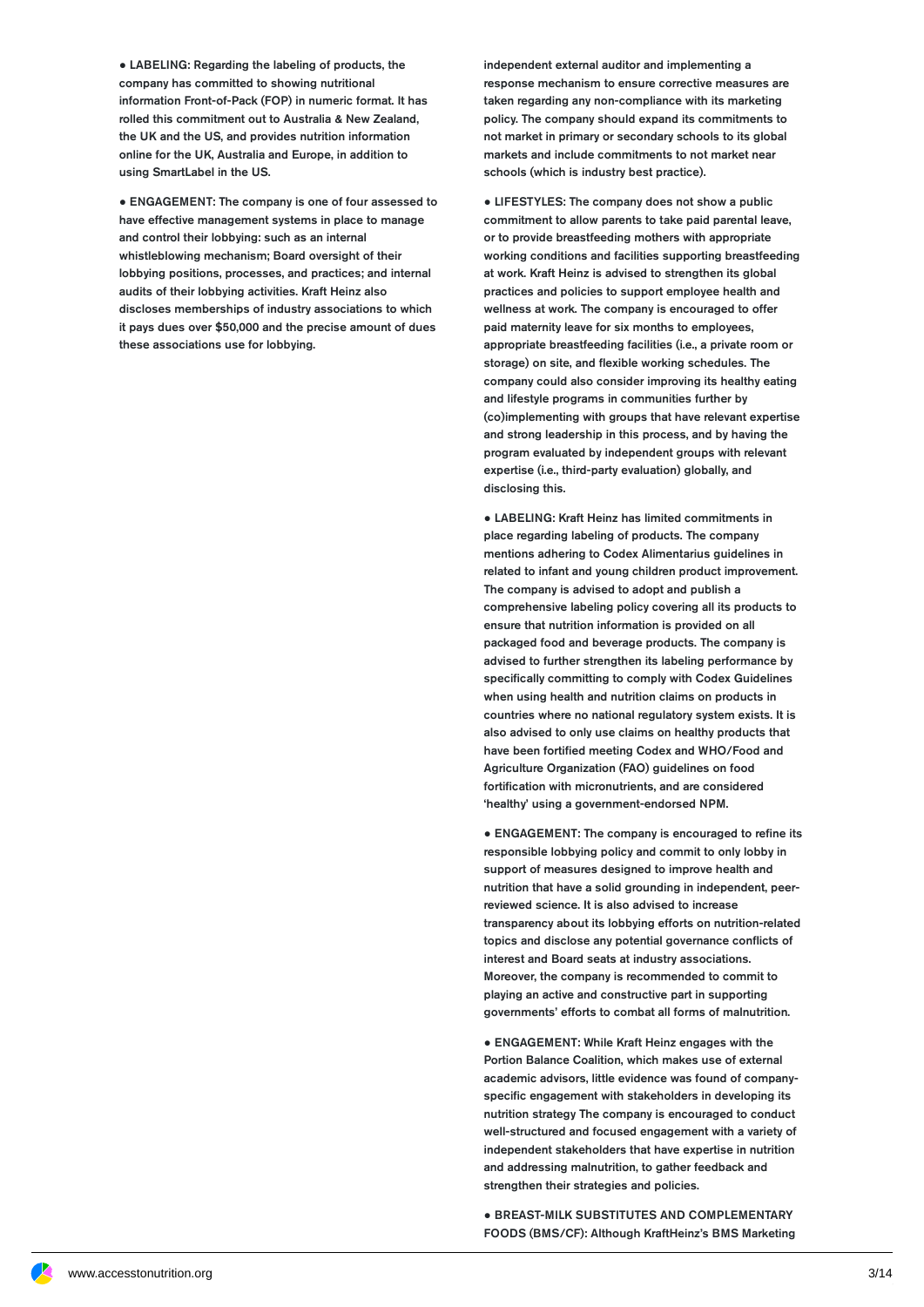● LABELING: Regarding the labeling of products, the company has committed to showing nutritional information Front-of-Pack (FOP) in numeric format. It has rolled this commitment out to Australia & New Zealand, the UK and the US, and provides nutrition information online for the UK, Australia and Europe, in addition to using SmartLabel in the US.

● ENGAGEMENT: The company is one of four assessed to have effective management systems in place to manage and control their lobbying: such as an internal whistleblowing mechanism; Board oversight of their lobbying positions, processes, and practices; and internal audits of their lobbying activities. Kraft Heinz also discloses memberships of industry associations to which it pays dues over \$50,000 and the precise amount of dues these associations use for lobbying.

independent external auditor and implementing a response mechanism to ensure corrective measures are taken regarding any non-compliance with its marketing policy. The company should expand its commitments to not market in primary or secondary schools to its global markets and include commitments to not market near schools (which is industry best practice).

● LIFESTYLES: The company does not show a public commitment to allow parents to take paid parental leave, or to provide breastfeeding mothers with appropriate working conditions and facilities supporting breastfeeding at work. Kraft Heinz is advised to strengthen its global practices and policies to support employee health and wellness at work. The company is encouraged to offer paid maternity leave for six months to employees, appropriate breastfeeding facilities (i.e., a private room or storage) on site, and flexible working schedules. The company could also consider improving its healthy eating and lifestyle programs in communities further by (co)implementing with groups that have relevant expertise and strong leadership in this process, and by having the program evaluated by independent groups with relevant expertise (i.e., third-party evaluation) globally, and disclosing this.

● LABELING: Kraft Heinz has limited commitments in place regarding labeling of products. The company mentions adhering to Codex Alimentarius guidelines in related to infant and young children product improvement. The company is advised to adopt and publish a comprehensive labeling policy covering all its products to ensure that nutrition information is provided on all packaged food and beverage products. The company is advised to further strengthen its labeling performance by specifically committing to comply with Codex Guidelines when using health and nutrition claims on products in countries where no national regulatory system exists. It is also advised to only use claims on healthy products that have been fortified meeting Codex and WHO/Food and Agriculture Organization (FAO) guidelines on food fortification with micronutrients, and are considered 'healthy' using a government-endorsed NPM.

• ENGAGEMENT: The company is encouraged to refine its responsible lobbying policy and commit to only lobby in support of measures designed to improve health and nutrition that have a solid grounding in independent, peerreviewed science. It is also advised to increase transparency about its lobbying efforts on nutrition-related topics and disclose any potential governance conflicts of interest and Board seats at industry associations. Moreover, the company is recommended to commit to playing an active and constructive part in supporting governments' efforts to combat all forms of malnutrition.

● ENGAGEMENT: While Kraft Heinz engages with the Portion Balance Coalition, which makes use of external academic advisors, little evidence was found of company specific engagement with stakeholders in developing its nutrition strategy The company is encouraged to conduct well-structured and focused engagement with a variety of independent stakeholders that have expertise in nutrition and addressing malnutrition, to gather feedback and strengthen their strategies and policies.

● BREAST-MILK SUBSTITUTES AND COMPLEMENTARY FOODS (BMS/CF): Although KraftHeinz's BMS Marketing

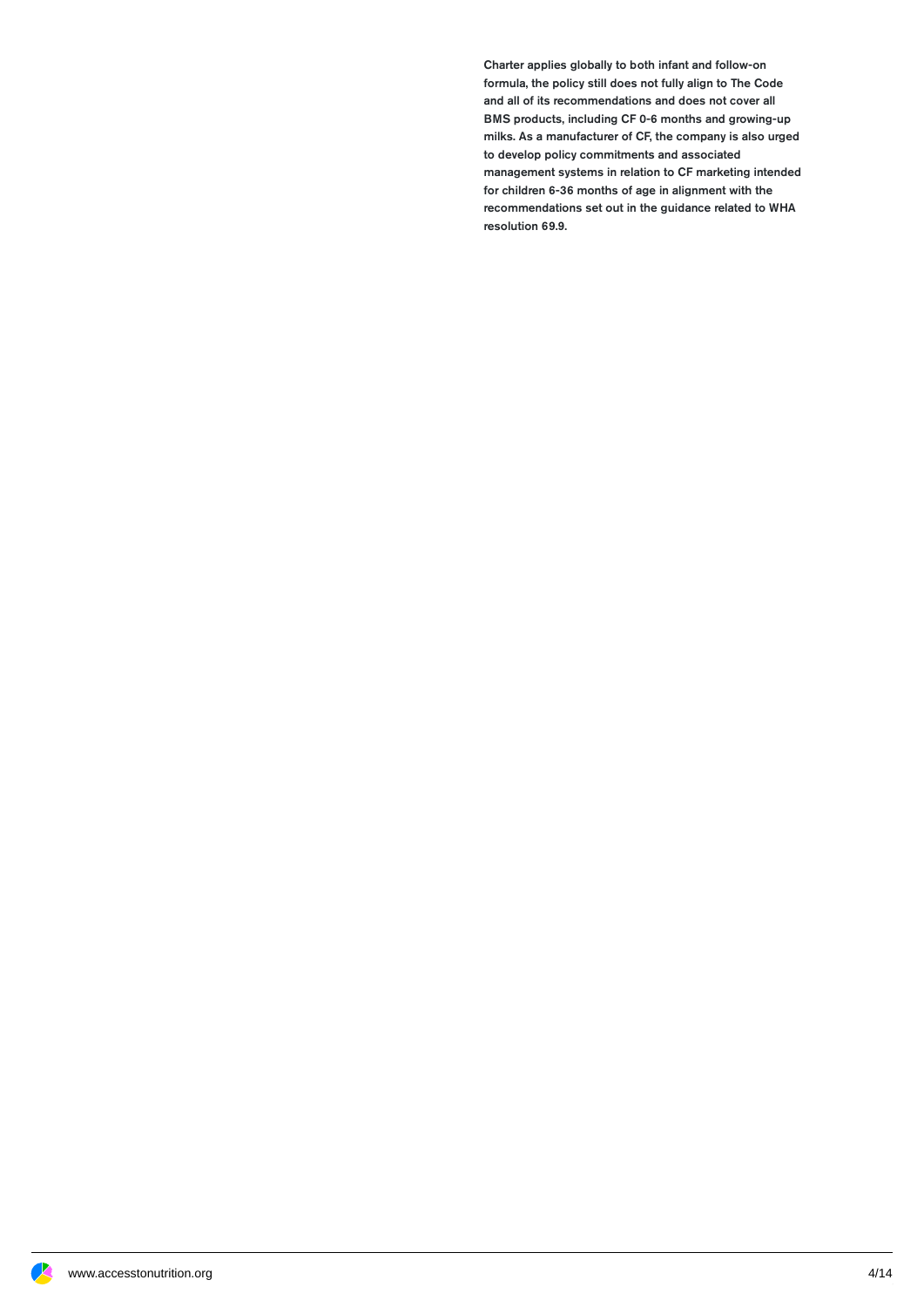Charter applies globally to both infant and follow-on formula, the policy still does not fully align to The Code and all of its recommendations and does not cover all BMS products, including CF 0-6 months and growing-up milks. As a manufacturer of CF, the company is also urged to develop policy commitments and associated management systems in relation to CF marketing intended for children 6-36 months of age in alignment with the recommendations set out in the guidance related to WHA resolution 69.9.

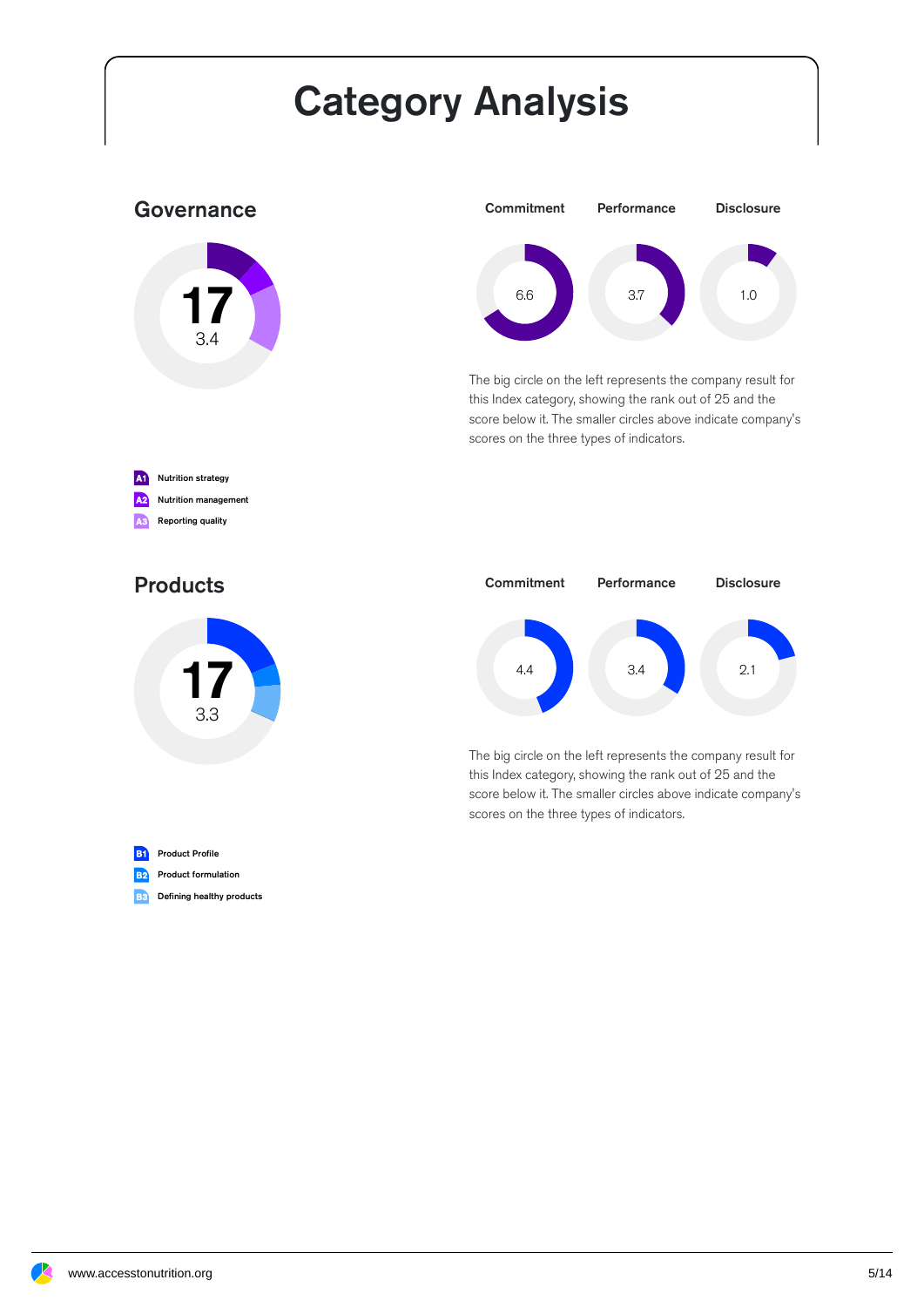# Category Analysis

#### **Governance**





The big circle on the left represents the company result for this Index category, showing the rank out of 25 and the score below it. The smaller circles above indicate company's scores on the three types of indicators.



#### Products





The big circle on the left represents the company result for this Index category, showing the rank out of 25 and the score below it. The smaller circles above indicate company's scores on the three types of indicators.



**B2** Product formulation

**B3** Defining healthy products

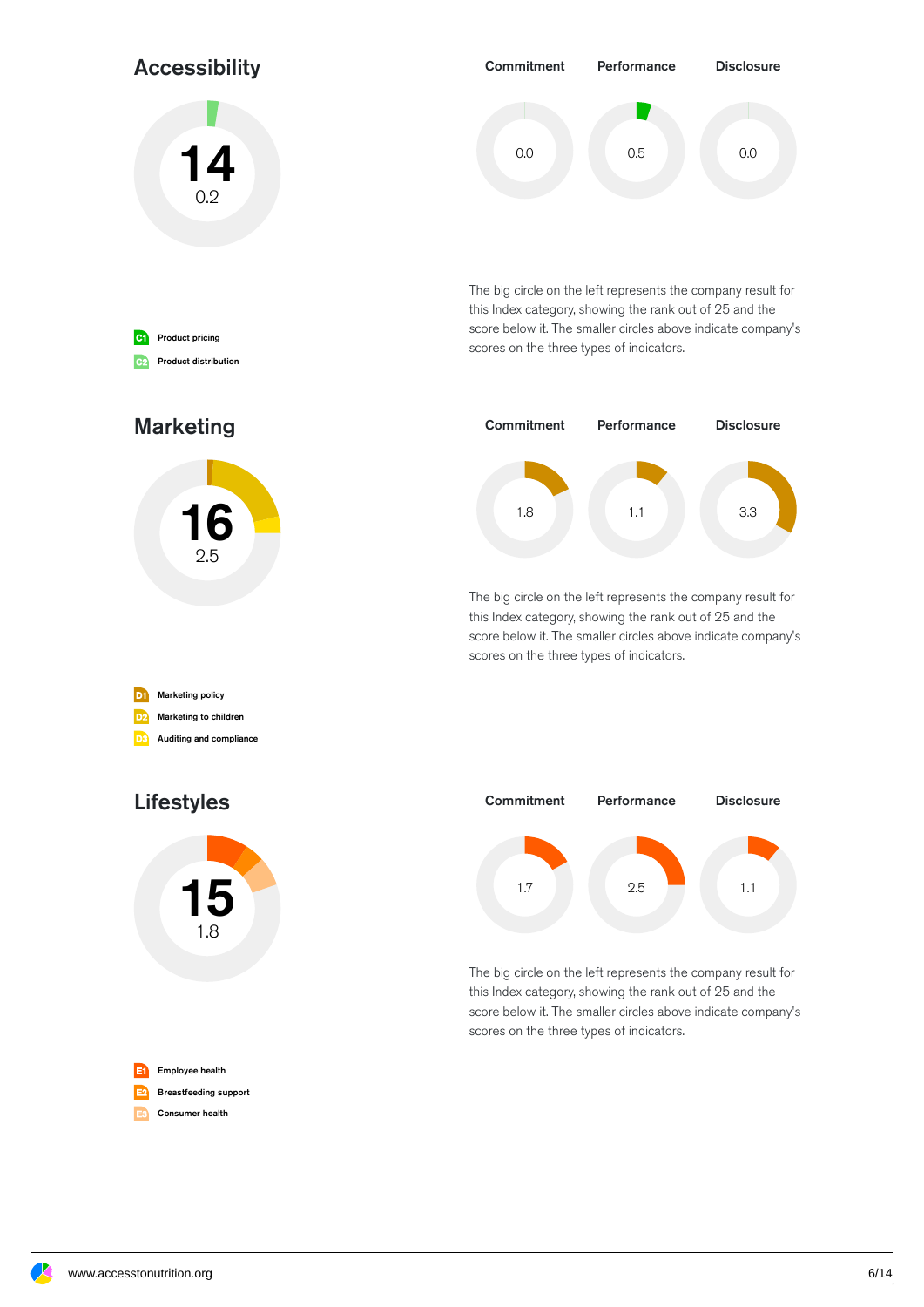#### Accessibility

14  $0.2$ 



The big circle on the left represents the company result for this Index category, showing the rank out of 25 and the score below it. The smaller circles above indicate company's scores on the three types of indicators.



The big circle on the left represents the company result for this Index category, showing the rank out of 25 and the score below it. The smaller circles above indicate company's scores on the three types of indicators.



The big circle on the left represents the company result for this Index category, showing the rank out of 25 and the score below it. The smaller circles above indicate company's scores on the three types of indicators.



#### Marketing



| D <sub>1</sub> | <b>Marketing policy</b> |
|----------------|-------------------------|
| D2)            | Marketing to children   |
| ו בח           | Auditing and compliance |

### Lifestyles



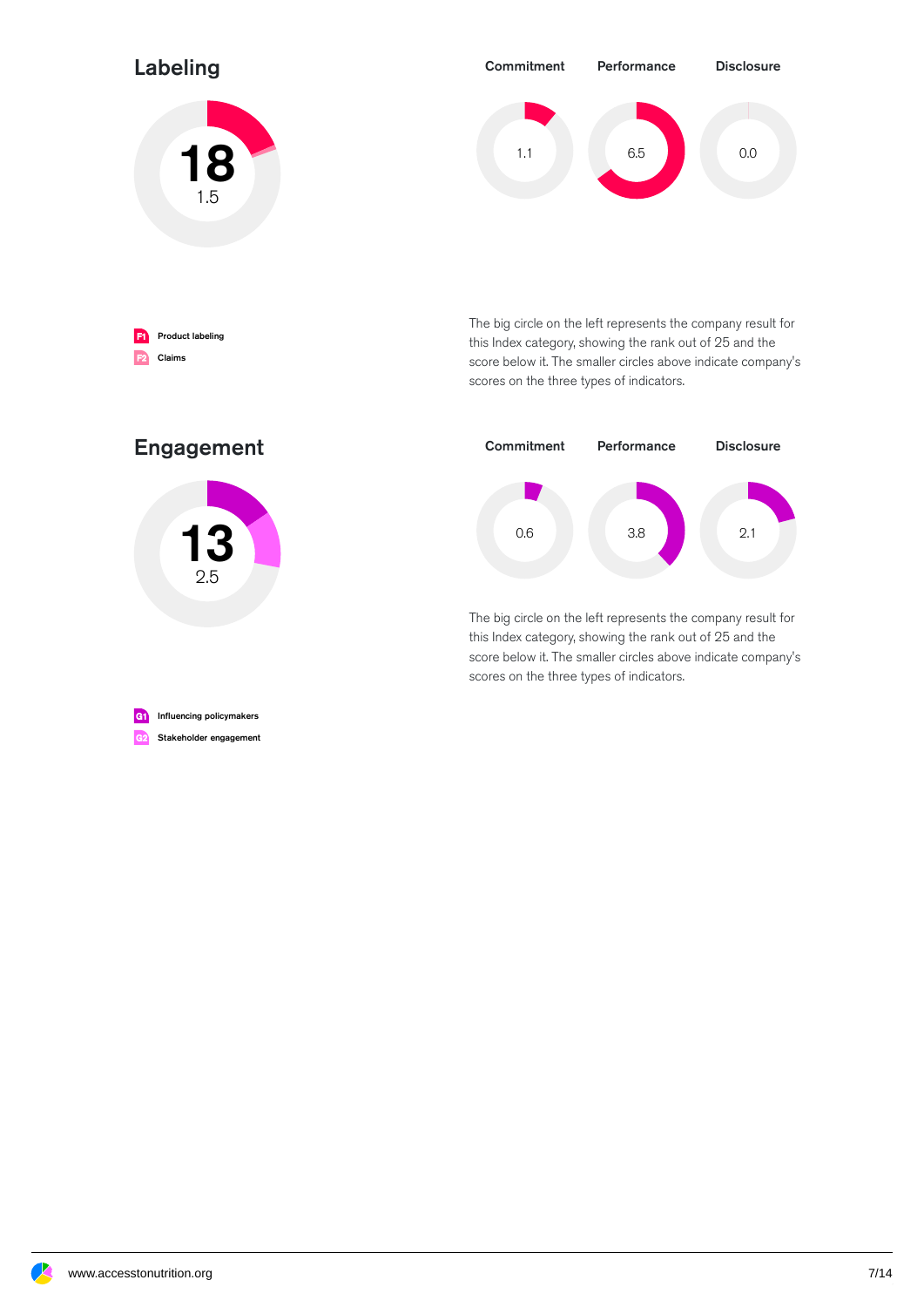#### Labeling





**F1** Product labeling F2 Claims

The big circle on the left represents the company result for this Index category, showing the rank out of 25 and the score below it. The smaller circles above indicate company's scores on the three types of indicators.



The big circle on the left represents the company result for this Index category, showing the rank out of 25 and the score below it. The smaller circles above indicate company's scores on the three types of indicators.

#### Engagement



G1 Influencing policymakers

G2 Stakeholder engagement

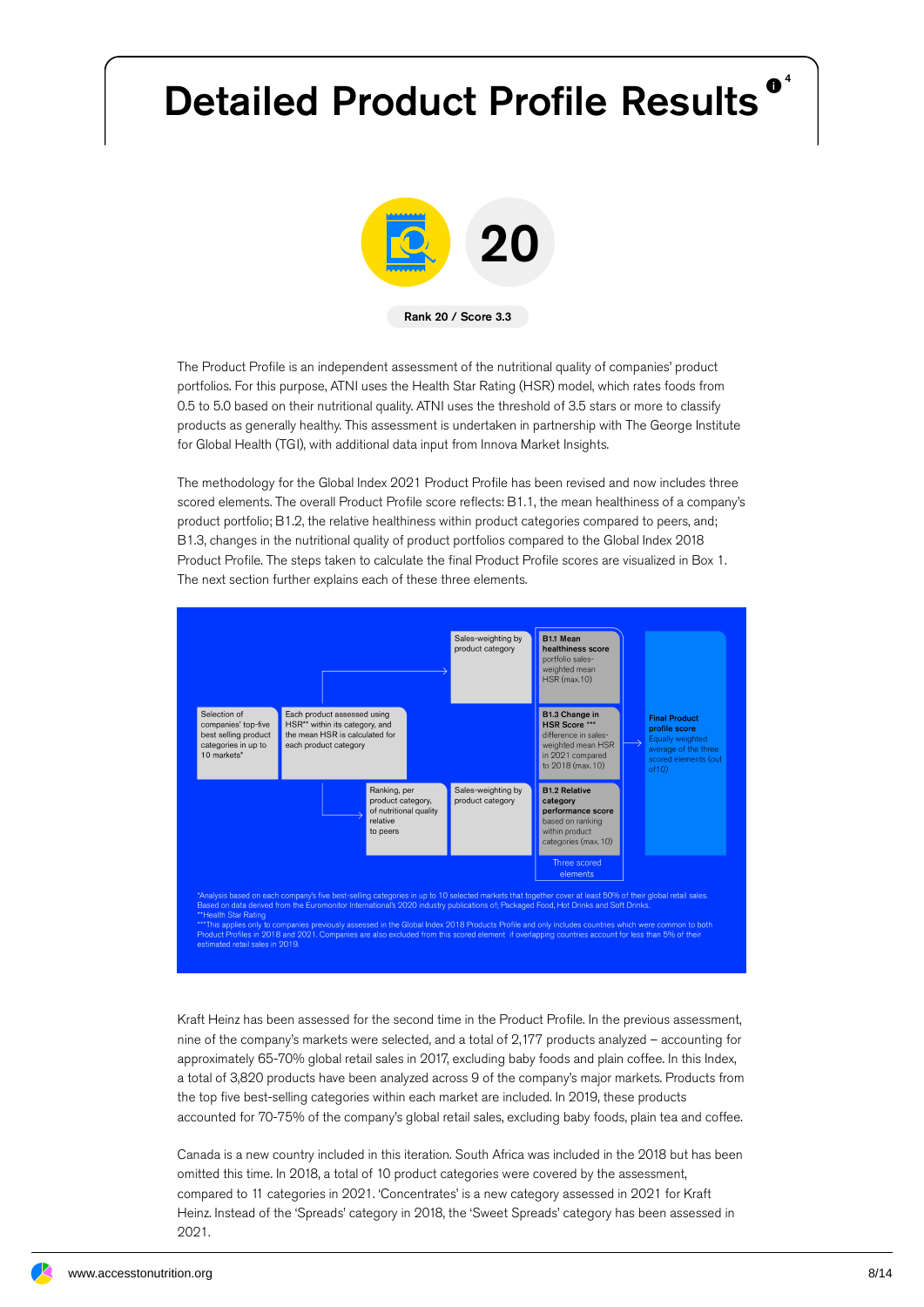# Detailed Product Profile Results<sup>®</sup>



The Product Profile is an independent assessment of the nutritional quality of companies' product portfolios. For this purpose, ATNI uses the Health Star Rating (HSR) model, which rates foods from 0.5 to 5.0 based on their nutritional quality. ATNI uses the threshold of 3.5 stars or more to classify products as generally healthy. This assessment is undertaken in partnership with The George Institute for Global Health (TGI), with additional data input from Innova Market Insights.

The methodology for the Global Index 2021 Product Profile has been revised and now includes three scored elements. The overall Product Profile score reflects: B1.1, the mean healthiness of a company's product portfolio; B1.2, the relative healthiness within product categories compared to peers, and; B1.3, changes in the nutritional quality of product portfolios compared to the Global Index 2018 Product Profile. The steps taken to calculate the final Product Profile scores are visualized in Box 1. The next section further explains each of these three elements.



""<br>hy to companies previously assessed in the Global Index 2018 Products Profile and only includes countries which were common to b<br>in 2018 and 2021. Companies are also excluded from this scored element if overlapping coun

Kraft Heinz has been assessed for the second time in the Product Profile. In the previous assessment, nine of the company's markets were selected, and a total of 2,177 products analyzed – accounting for approximately 65-70% global retail sales in 2017, excluding baby foods and plain coffee. In this Index, a total of 3,820 products have been analyzed across 9 of the company's major markets. Products from the top five best-selling categories within each market are included. In 2019, these products accounted for 70-75% of the company's global retail sales, excluding baby foods, plain tea and coffee.

Canada is a new country included in this iteration. South Africa was included in the 2018 but has been omitted this time. In 2018, a total of 10 product categories were covered by the assessment, compared to 11 categories in 2021. 'Concentrates' is a new category assessed in 2021 for Kraft Heinz. Instead of the 'Spreads' category in 2018, the 'Sweet Spreads' category has been assessed in 2021.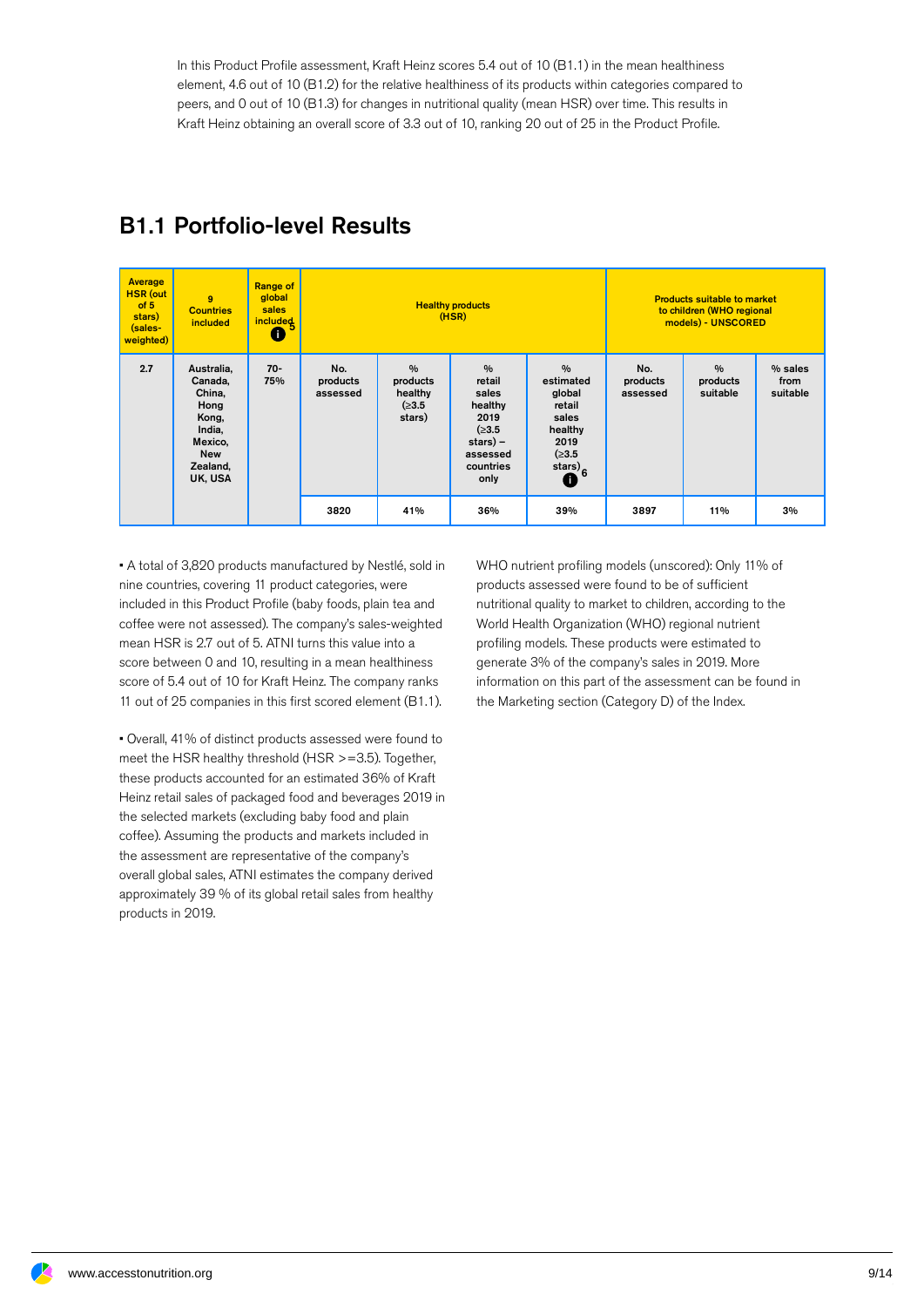In this Product Profile assessment, Kraft Heinz scores 5.4 out of 10 (B1.1) in the mean healthiness element, 4.6 out of 10 (B1.2) for the relative healthiness of its products within categories compared to peers, and 0 out of 10 (B1.3) for changes in nutritional quality (mean HSR) over time. This results in Kraft Heinz obtaining an overall score of 3.3 out of 10, ranking 20 out of 25 in the Product Profile.

| Average<br><b>HSR</b> (out<br>of 5<br>stars)<br>(sales-<br>weighted) | $\mathbf{Q}$<br><b>Countries</b><br>included                                                               | <b>Range of</b><br>global<br>sales<br><i>included</i><br>O | <b>Healthy products</b><br>(HSR) |                                                          |                                                                                                              |                                                                                                        | <b>Products suitable to market</b><br>to children (WHO regional<br>models) - UNSCORED |                                       |                             |  |
|----------------------------------------------------------------------|------------------------------------------------------------------------------------------------------------|------------------------------------------------------------|----------------------------------|----------------------------------------------------------|--------------------------------------------------------------------------------------------------------------|--------------------------------------------------------------------------------------------------------|---------------------------------------------------------------------------------------|---------------------------------------|-----------------------------|--|
| 2.7                                                                  | Australia,<br>Canada,<br>China,<br>Hong<br>Kong,<br>India,<br>Mexico,<br><b>New</b><br>Zealand,<br>UK, USA | $70-$<br>75%                                               | No.<br>products<br>assessed      | $\frac{0}{0}$<br>products<br>healthy<br>(≥3.5)<br>stars) | $\frac{0}{0}$<br>retail<br>sales<br>healthy<br>2019<br>(≥3.5)<br>$star$ ) –<br>assessed<br>countries<br>only | $\frac{0}{0}$<br>estimated<br>global<br>retail<br>sales<br>healthy<br>2019<br>(≥3.5<br>stars) $6$<br>O | No.<br>products<br>assessed                                                           | $\frac{0}{0}$<br>products<br>suitable | % sales<br>from<br>suitable |  |
|                                                                      |                                                                                                            |                                                            | 3820                             | 41%                                                      | 36%                                                                                                          | 39%                                                                                                    | 3897                                                                                  | 11%                                   | 3%                          |  |

### B1.1 Portfolio-level Results

• A total of 3,820 products manufactured by Nestlé, sold in nine countries, covering 11 product categories, were included in this Product Profile (baby foods, plain tea and coffee were not assessed). The company's sales-weighted mean HSR is 2.7 out of 5. ATNI turns this value into a score between 0 and 10, resulting in a mean healthiness score of 5.4 out of 10 for Kraft Heinz. The company ranks 11 out of 25 companies in this first scored element (B1.1).

• Overall, 41% of distinct products assessed were found to meet the HSR healthy threshold (HSR >=3.5). Together, these products accounted for an estimated 36% of Kraft Heinz retail sales of packaged food and beverages 2019 in the selected markets (excluding baby food and plain coffee). Assuming the products and markets included in the assessment are representative of the company's overall global sales, ATNI estimates the company derived approximately 39 % of its global retail sales from healthy products in 2019.

WHO nutrient profiling models (unscored): Only 11% of products assessed were found to be of sufficient nutritional quality to market to children, according to the World Health Organization (WHO) regional nutrient profiling models. These products were estimated to generate 3% of the company's sales in 2019. More information on this part of the assessment can be found in the Marketing section (Category D) of the Index.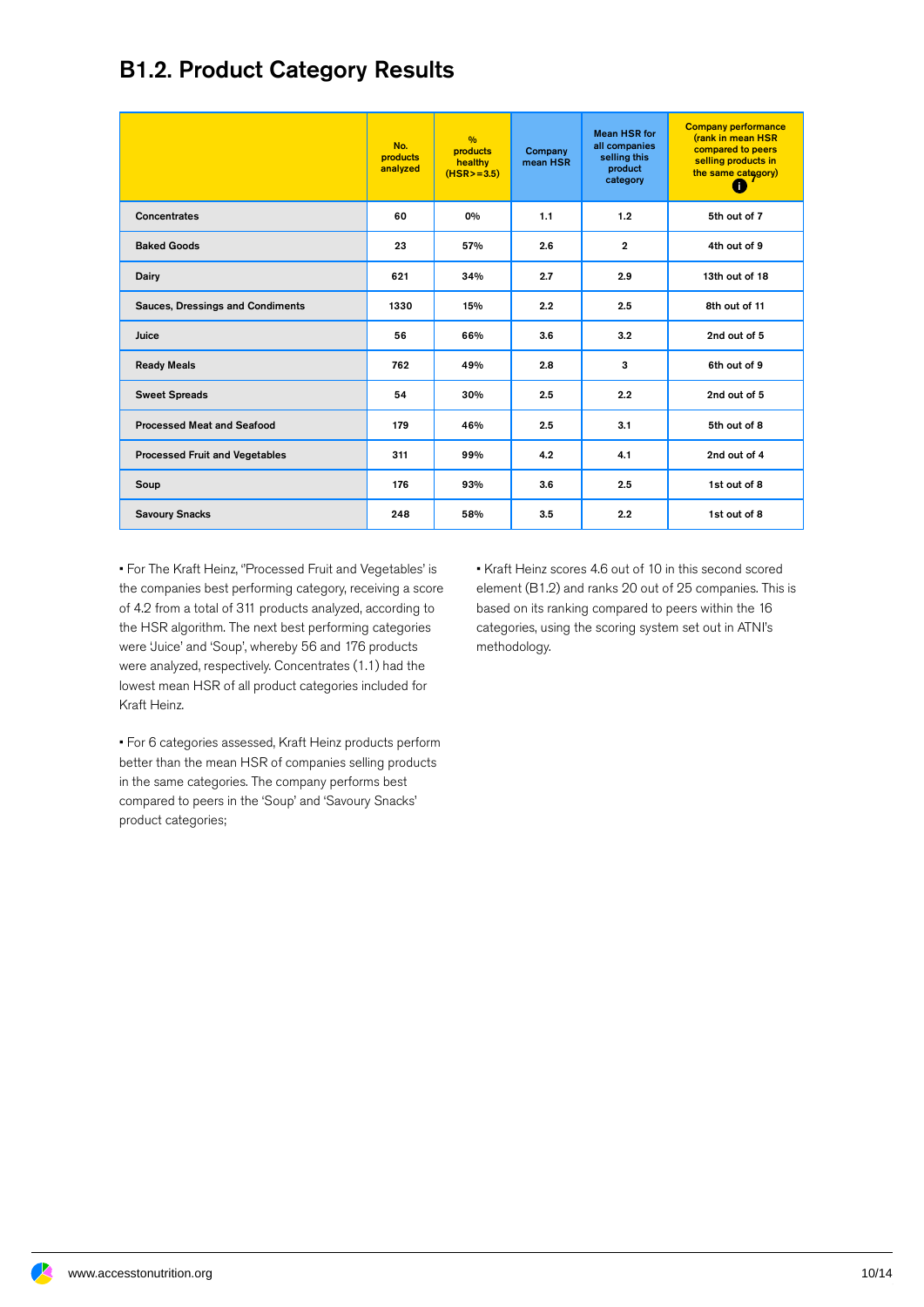#### B1.2. Product Category Results

|                                         | No.<br>products<br>analyzed | $\frac{0}{0}$<br><b>products</b><br>healthy<br>$(HSR > = 3.5)$ | Company<br>mean HSR | <b>Mean HSR for</b><br>all companies<br>selling this<br>product<br>category | <b>Company performance</b><br>(rank in mean HSR<br>compared to peers<br>selling products in<br>the same category)<br>Œ |
|-----------------------------------------|-----------------------------|----------------------------------------------------------------|---------------------|-----------------------------------------------------------------------------|------------------------------------------------------------------------------------------------------------------------|
| Concentrates                            | 60                          | 0%                                                             | 1.1                 | 1.2                                                                         | 5th out of 7                                                                                                           |
| <b>Baked Goods</b>                      | 23                          | 57%                                                            | 2.6                 | $\overline{2}$                                                              | 4th out of 9                                                                                                           |
| Dairy                                   | 621                         | 34%                                                            | 2.7                 | 2.9                                                                         | 13th out of 18                                                                                                         |
| <b>Sauces, Dressings and Condiments</b> | 1330                        | 15%                                                            | 2.2                 | 2.5                                                                         | 8th out of 11                                                                                                          |
| Juice                                   | 56                          | 66%                                                            | 3.6                 | 3.2                                                                         | 2nd out of 5                                                                                                           |
| <b>Ready Meals</b>                      | 762                         | 49%                                                            | 2.8                 | 3                                                                           | 6th out of 9                                                                                                           |
| <b>Sweet Spreads</b>                    | 54                          | 30%                                                            | 2.5                 | 2.2                                                                         | 2nd out of 5                                                                                                           |
| <b>Processed Meat and Seafood</b>       | 179                         | 46%                                                            | 2.5                 | 3.1                                                                         | 5th out of 8                                                                                                           |
| <b>Processed Fruit and Vegetables</b>   | 311                         | 99%                                                            | 4.2                 | 4.1                                                                         | 2nd out of 4                                                                                                           |
| Soup                                    | 176                         | 93%                                                            | 3.6                 | 2.5                                                                         | 1st out of 8                                                                                                           |
| <b>Savoury Snacks</b>                   | 248                         | 58%                                                            | 3.5                 | 2.2                                                                         | 1st out of 8                                                                                                           |

• For The Kraft Heinz, ''Processed Fruit and Vegetables' is the companies best performing category, receiving a score of 4.2 from a total of 311 products analyzed, according to the HSR algorithm. The next best performing categories were 'Juice' and 'Soup', whereby 56 and 176 products were analyzed, respectively. Concentrates (1.1) had the lowest mean HSR of all product categories included for Kraft Heinz.

• For 6 categories assessed, Kraft Heinz products perform better than the mean HSR of companies selling products in the same categories. The company performs best compared to peers in the 'Soup' and 'Savoury Snacks' product categories;

• Kraft Heinz scores 4.6 out of 10 in this second scored element (B1.2) and ranks 20 out of 25 companies. This is based on its ranking compared to peers within the 16 categories, using the scoring system setout in ATNI's methodology.

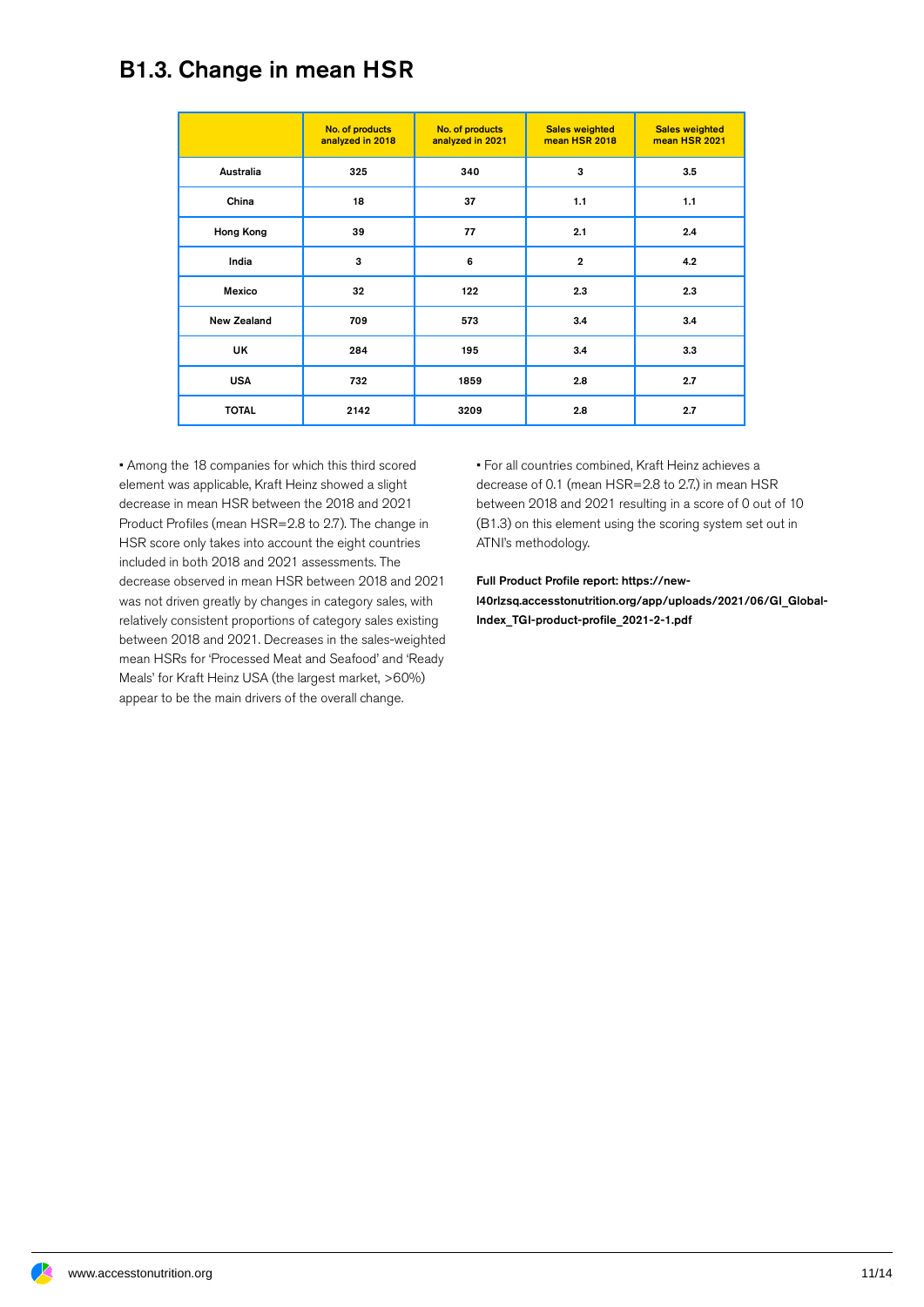#### B1.3. Change in mean HSR

|                    | No. of products<br>analyzed in 2018 | No. of products<br>analyzed in 2021 | <b>Sales weighted</b><br>mean HSR 2018 | <b>Sales weighted</b><br>mean HSR 2021 |
|--------------------|-------------------------------------|-------------------------------------|----------------------------------------|----------------------------------------|
| Australia          | 325                                 | 340                                 | 3                                      | 3.5                                    |
| China              | 18                                  | 37                                  | 1.1                                    | 1.1                                    |
| Hong Kong          | 39                                  | 77                                  | 2.1                                    | 2.4                                    |
| India              | 3                                   | 6                                   | $\overline{2}$                         | 4.2                                    |
| Mexico             | 32                                  | 122                                 | 2.3                                    | 2.3                                    |
| <b>New Zealand</b> | 709                                 | 573                                 | 3.4                                    | 3.4                                    |
| UK                 | 284                                 | 195                                 | 3.4                                    | 3.3                                    |
| <b>USA</b>         | 732                                 | 1859                                | 2.8                                    | 2.7                                    |
| <b>TOTAL</b>       | 2142                                | 3209                                | 2.8                                    | 2.7                                    |

• Among the 18 companies for which this third scored element was applicable, Kraft Heinz showed a slight decrease in mean HSR between the 2018 and 2021 Product Profiles (mean HSR=2.8 to 2.7). The change in HSR score only takes into account the eight countries included in both 2018 and 2021 assessments. The decrease observed in mean HSR between 2018 and 2021 was not driven greatly by changes in category sales, with relatively consistent proportions of category sales existing between 2018 and 2021. Decreases in the sales-weighted mean HSRs for 'Processed Meat and Seafood' and 'Ready Meals' for Kraft Heinz USA (the largest market, >60%) appear to be the main drivers of the overall change.

• For all countries combined, Kraft Heinz achieves a decrease of 0.1 (mean HSR=2.8 to 2.7.) in mean HSR between 2018 and 2021 resulting in a score of 0 out of 10 (B1.3) on this element using the scoring system set out in ATNI's methodology.

Full Product Profile report: https://newl40rlzsq.accesstonutrition.org/app/uploads/2021/06/GI\_Global-Index\_TGI-product-profile\_2021-2-1.pdf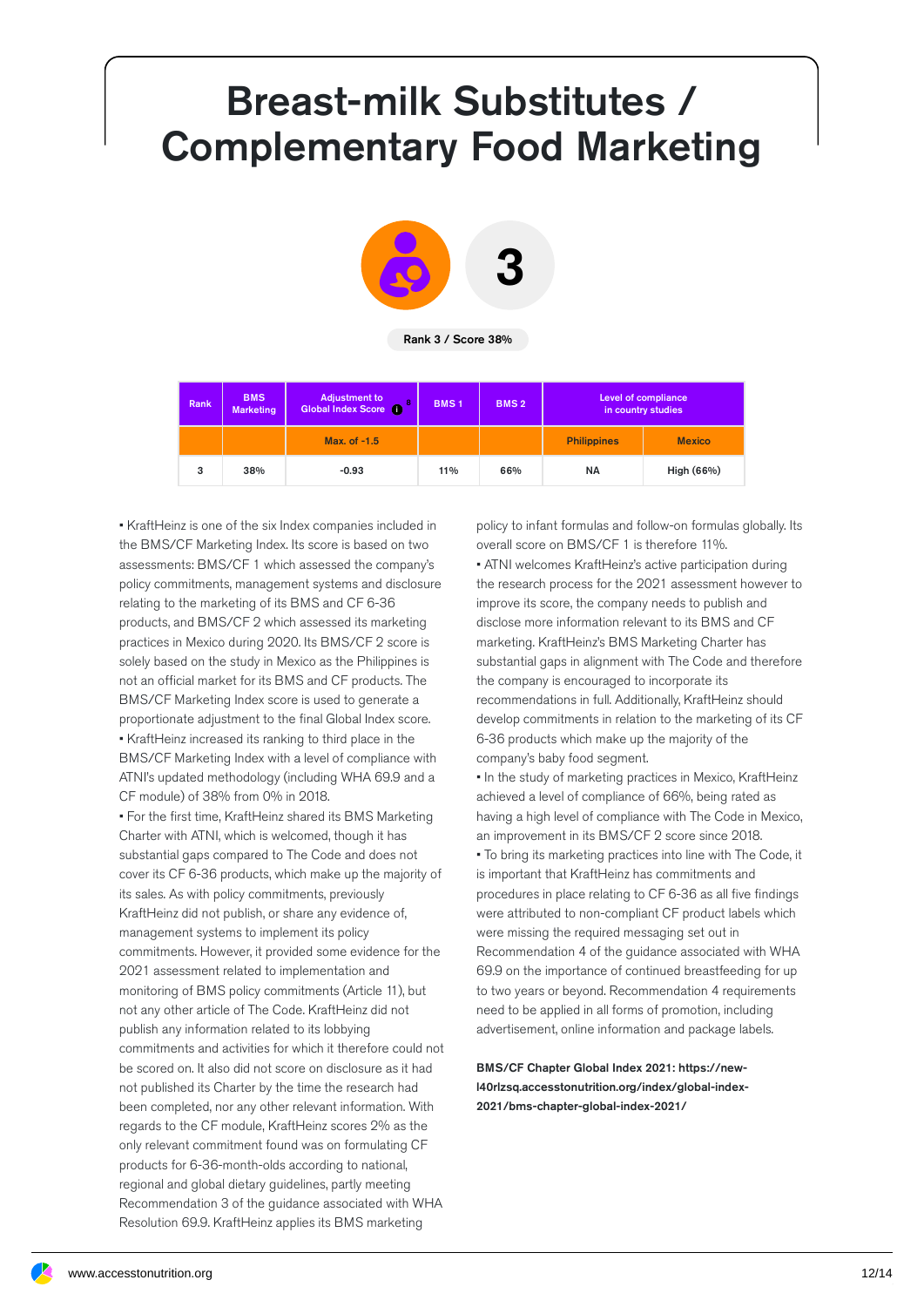## Breast-milk Substitutes / Complementary Food Marketing



Rank 3 / Score 38%

| Rank | <b>BMS</b><br><b>Marketing</b> | <b>Adjustment to</b><br><b>Global Index Score i</b><br>8 | <b>BMS1</b> | <b>BMS2</b> | Level of compliance<br>in country studies |               |
|------|--------------------------------|----------------------------------------------------------|-------------|-------------|-------------------------------------------|---------------|
|      |                                | Max. of -1.5                                             |             |             | <b>Philippines</b>                        | <b>Mexico</b> |
| 3    | 38%                            | $-0.93$                                                  | 11%         | 66%         | <b>NA</b>                                 | High (66%)    |

• KraftHeinz is one of the six Index companies included in the BMS/CF Marketing Index. Its score is based on two assessments: BMS/CF 1 which assessed the company's policy commitments, management systems and disclosure relating to the marketing of its BMS and CF 6-36 products, and BMS/CF 2 which assessed its marketing practices in Mexico during 2020. Its BMS/CF 2 score is solely based on the study in Mexico as the Philippines is not an official market for its BMS and CF products. The BMS/CF Marketing Index score is used to generate a proportionate adjustment to the final Global Index score. • KraftHeinz increased its ranking to third place in the BMS/CF Marketing Index with a level of compliance with ATNI's updated methodology (including WHA 69.9 and a CF module) of 38% from 0% in 2018.

• For the first time, KraftHeinz shared its BMS Marketing Charter with ATNI, which is welcomed, though it has substantial gaps compared to The Code and does not cover its CF 6-36 products, which make up the majority of its sales. As with policy commitments, previously KraftHeinz did not publish, or share any evidence of, management systems to implement its policy commitments. However, it provided some evidence for the 2021 assessment related to implementation and monitoring of BMS policy commitments (Article 11), but not any other article of The Code. KraftHeinz did not publish any information related to its lobbying commitments and activities for which it therefore could not be scored on. It also did not score on disclosure as it had not published its Charter by the time the research had been completed, nor any other relevant information. With regards to the CF module, KraftHeinz scores 2% as the only relevant commitment found was on formulating CF products for 6-36-month-olds according to national, regional and global dietary guidelines, partly meeting Recommendation 3 of the guidance associated with WHA Resolution 69.9. KraftHeinz applies its BMS marketing

policy to infant formulas and follow-on formulas globally. Its overall score on BMS/CF 1 is therefore 11%. • ATNI welcomes KraftHeinz's active participation during the research process for the 2021 assessment however to improve its score, the company needs to publish and disclose more information relevant to its BMS and CF marketing. KraftHeinz's BMS Marketing Charter has substantial gaps in alignment with The Code and therefore the company is encouraged to incorporate its recommendations in full. Additionally, KraftHeinz should develop commitments in relation to the marketing of its CF 6-36 products which make up the majority of the

company's baby food segment. • In the study of marketing practices in Mexico, KraftHeinz achieved a level of compliance of 66%, being rated as having a high level of compliance with The Code in Mexico, an improvement in its BMS/CF 2 score since 2018. • To bring its marketing practices into line with The Code, it is important that KraftHeinz has commitments and procedures in place relating to CF 6-36 as all five findings were attributed to non-compliant CF product labels which were missing the required messaging set out in Recommendation 4 of the guidance associated with WHA 69.9 on the importance of continued breastfeeding for up to two years or beyond. Recommendation 4 requirements need to be applied in all forms of promotion, including advertisement, online information and package labels.

BMS/CF Chapter Global Index 2021: https://newl40rlzsq.accesstonutrition.org/index/global-index- 2021/bms-chapter-global-index-2021/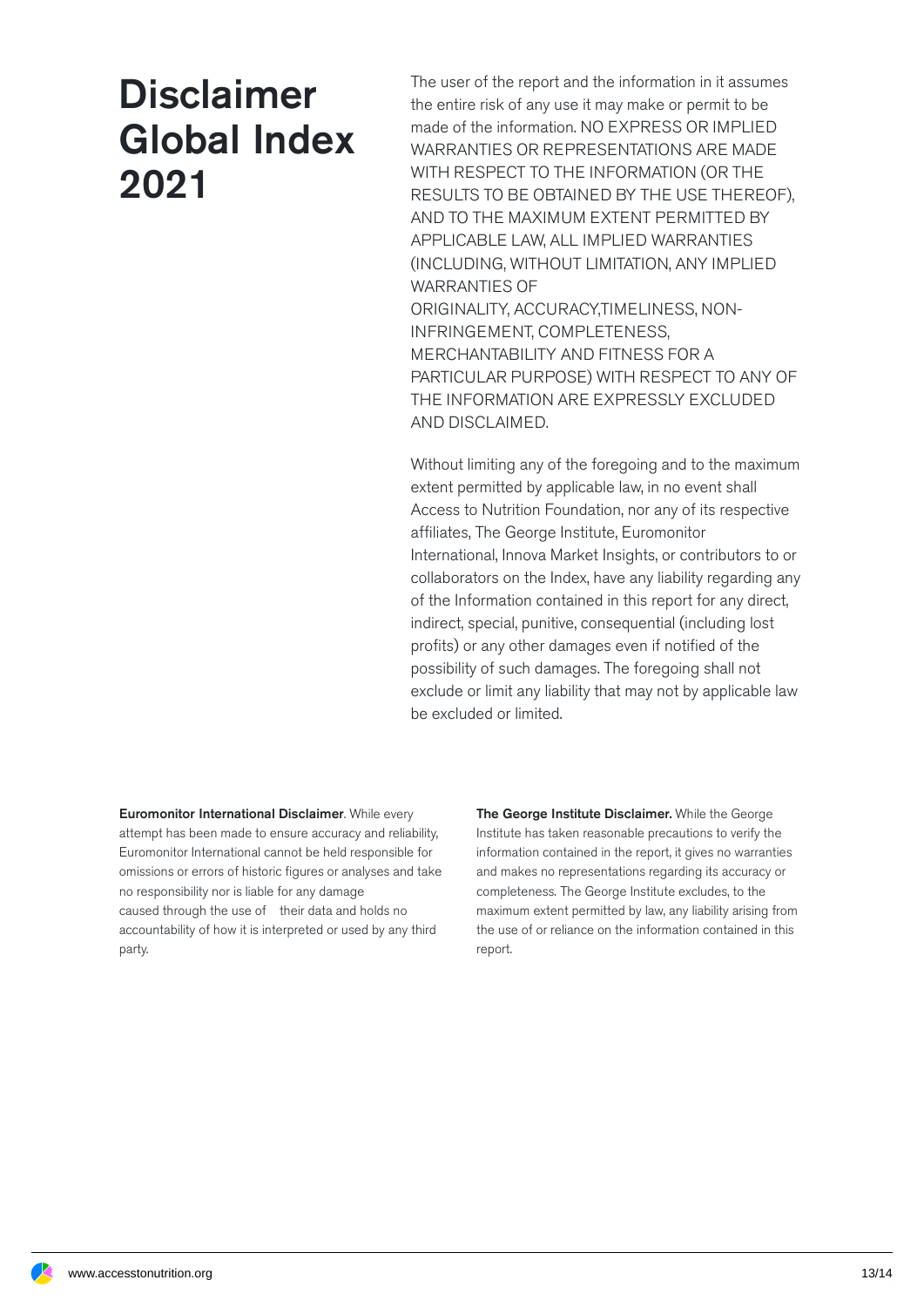## Disclaimer Global Index 2021

The user of the report and the information in it assumes the entire risk of any use it may make or permit to be made of the information. NO EXPRESS OR IMPLIED WARRANTIES OR REPRESENTATIONS ARE MADE WITH RESPECT TO THE INFORMATION (OR THE RESULTS TO BE OBTAINED BY THE USE THEREOF), AND TO THE MAXIMUM EXTENT PERMITTED BY APPLICABLE LAW, ALL IMPLIED WARRANTIES (INCLUDING, WITHOUT LIMITATION, ANY IMPLIED WARRANTIES OF ORIGINALITY, ACCURACY,TIMELINESS, NON-INFRINGEMENT, COMPLETENESS, MERCHANTABILITY AND FITNESS FOR A PARTICULAR PURPOSE) WITH RESPECT TO ANY OF THE INFORMATION ARE EXPRESSLY EXCLUDED AND DISCLAIMED.

Without limiting any of the foregoing and to the maximum extent permitted by applicable law, in no event shall Access to Nutrition Foundation, nor any of its respective affiliates, The George Institute, Euromonitor International, Innova Market Insights, or contributors to or collaborators on the Index, have any liability regarding any of the Information contained in this report for any direct, indirect, special, punitive, consequential (including lost profits) or any other damages even if notified of the possibility of such damages. The foregoing shall not exclude or limit any liability that may not by applicable law be excluded or limited.

Euromonitor International Disclaimer. While every attempt has been made to ensure accuracy and reliability, Euromonitor International cannot be held responsible for omissions or errors of historic figures or analyses and take no responsibility nor is liable for any damage caused through the use of their data and holds no accountability of how it is interpreted or used by any third party.

The George Institute Disclaimer. While the George Institute has taken reasonable precautions to verify the information contained in the report, it gives no warranties and makes no representations regarding its accuracy or completeness. The George Institute excludes, to the maximum extent permitted by law, any liability arising from the use of or reliance on the information contained in this report.